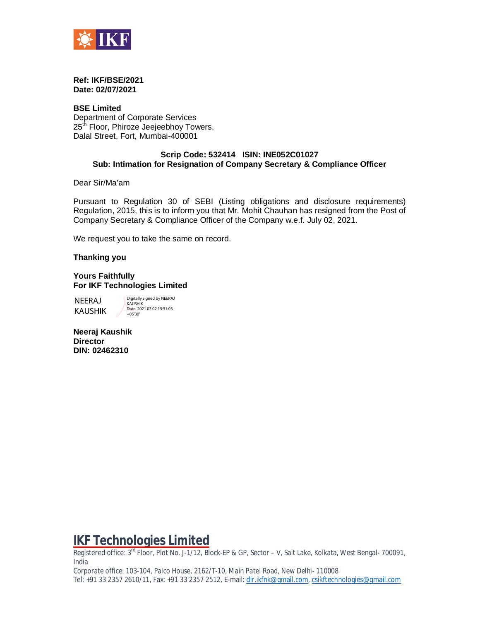

#### **Ref: IKF/BSE/2021 Date: 02/07/2021**

**BSE Limited** Department of Corporate Services 25<sup>th</sup> Floor, Phiroze Jeejeebhoy Towers, Dalal Street, Fort, Mumbai-400001

#### **Scrip Code: 532414 ISIN: INE052C01027 Sub: Intimation for Resignation of Company Secretary & Compliance Officer**

Dear Sir/Ma'am

Pursuant to Regulation 30 of SEBI (Listing obligations and disclosure requirements) Regulation, 2015, this is to inform you that Mr. Mohit Chauhan has resigned from the Post of Company Secretary & Compliance Officer of the Company w.e.f. July 02, 2021.

We request you to take the same on record.

#### **Thanking you**

#### **Yours Faithfully For IKF Technologies Limited**

NEERAJ KAUSHIK

Digitally signed by NEERAJ KAUSHIK Date: 2021.07.02 15:51:03 +05'30'

**Neeraj Kaushik Director DIN: 02462310**

# **IKF Technologies Limited**

Registered office: 3<sup>rd</sup> Floor, Plot No. J-1/12, Block-EP & GP, Sector – V, Salt Lake, Kolkata, West Bengal- 700091, India

Corporate office: 103-104, Palco House, 2162/T-10, Main Patel Road, New Delhi- 110008 Tel: +91 33 2357 2610/11, Fax: +91 33 2357 2512, E-mail: [dir.ikfnk@gmail.com,](mailto:dir.ikfnk@gmail.com,) [csikftechnologies@gmail.com](mailto:csikftechnologies@gmail.com)